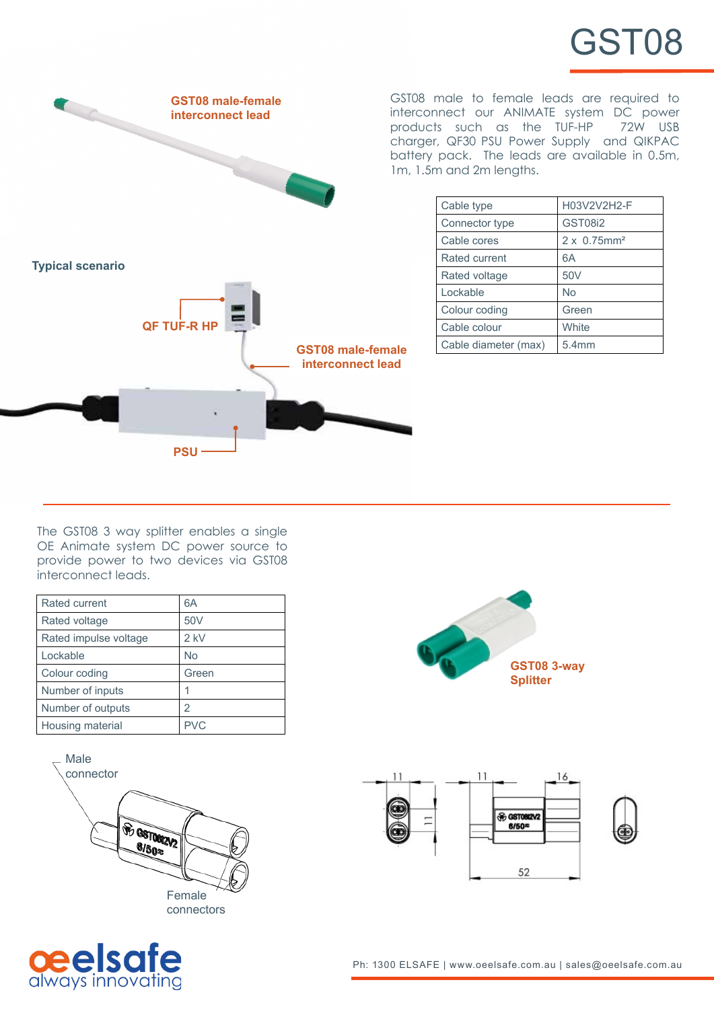



GST08 male to female leads are required to interconnect our ANIMATE system DC power<br>products such as the TUF-HP 72W USB products such as the TUF-HP charger, QF30 PSU Power Supply and QIKPAC battery pack. The leads are available in 0.5m, 1m, 1.5m and 2m lengths.

| Cable type           | H03V2V2H2-F                     |
|----------------------|---------------------------------|
| Connector type       | <b>GST08i2</b>                  |
| Cable cores          | $2 \times 0.75$ mm <sup>2</sup> |
| Rated current        | 6A                              |
| Rated voltage        | 50V                             |
| Lockable             | No                              |
| Colour coding        | Green                           |
| Cable colour         | White                           |
| Cable diameter (max) | 5.4mm                           |

The GST08 3 way splitter enables a single OE Animate system DC power source to provide power to two devices via GST08 interconnect leads.

| Rated current         | 6A              |
|-----------------------|-----------------|
| Rated voltage         | 50 <sub>V</sub> |
| Rated impulse voltage | $2$ kV          |
| Lockable              | No              |
| Colour coding         | Green           |
| Number of inputs      |                 |
| Number of outputs     | 2               |
| Housing material      | PVC.            |